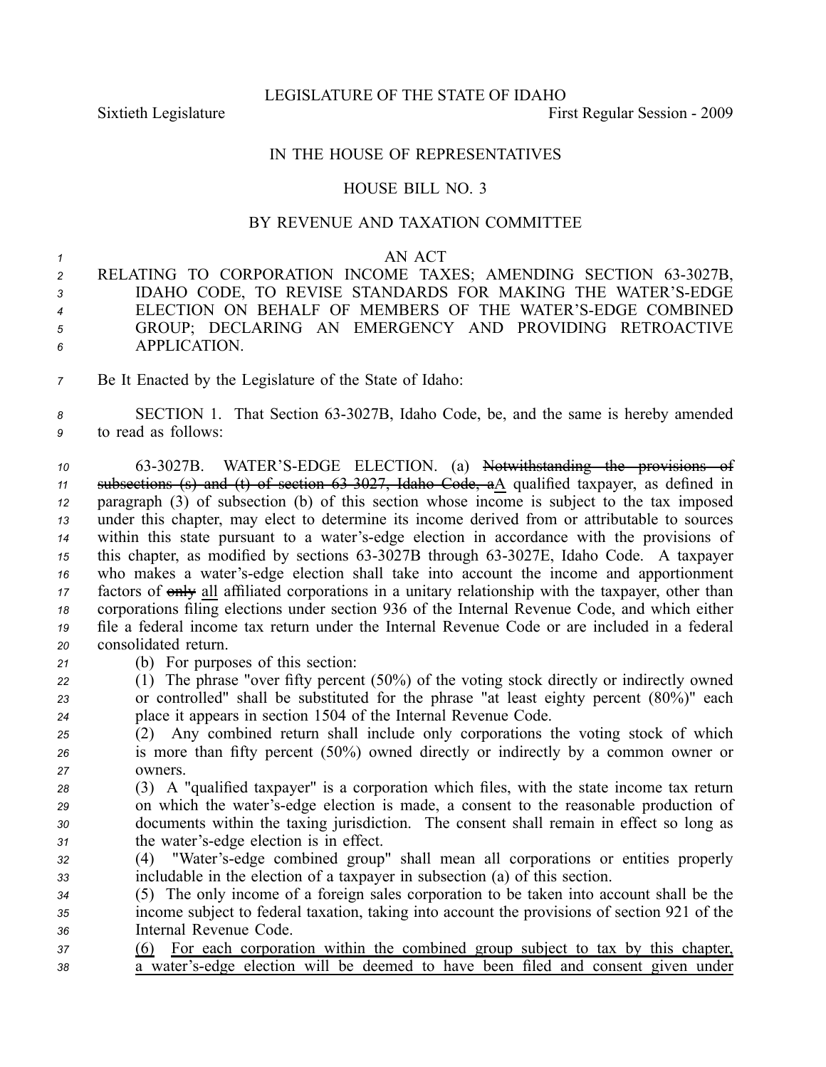LEGISLATURE OF THE STATE OF IDAHO

Sixtieth Legislature **First** Regular Session - 2009

## IN THE HOUSE OF REPRESENTATIVES

## HOUSE BILL NO. 3

## BY REVENUE AND TAXATION COMMITTEE

## *<sup>1</sup>* AN ACT

- *<sup>2</sup>* RELATING TO CORPORATION INCOME TAXES; AMENDING SECTION 633027B, *<sup>3</sup>* IDAHO CODE, TO REVISE STANDARDS FOR MAKING THE WATER'SEDGE *<sup>4</sup>* ELECTION ON BEHALF OF MEMBERS OF THE WATER'SEDGE COMBINED *<sup>5</sup>* GROUP; DECLARING AN EMERGENCY AND PROVIDING RETROACTIVE *6* APPLICATION.
- *<sup>7</sup>* Be It Enacted by the Legislature of the State of Idaho:
- 8 **SECTION 1.** That Section 63-3027B, Idaho Code, be, and the same is hereby amended *<sup>9</sup>* to read as follows:

 633027B. WATER'SEDGE ELECTION. (a) Notwithstanding the provisions of subsections (s) and (t) of section 633027, Idaho Code, aA qualified taxpayer, as defined in paragraph (3) of subsection (b) of this section whose income is subject to the tax imposed under this chapter, may elect to determine its income derived from or attributable to sources within this state pursuan<sup>t</sup> to <sup>a</sup> water'sedge election in accordance with the provisions of this chapter, as modified by sections 63-3027B through 63-3027E, Idaho Code. A taxpayer who makes <sup>a</sup> water'sedge election shall take into account the income and apportionment 17 factors of only all affiliated corporations in a unitary relationship with the taxpayer, other than corporations filing elections under section 936 of the Internal Revenue Code, and which either file <sup>a</sup> federal income tax return under the Internal Revenue Code or are included in <sup>a</sup> federal consolidated return.

- *<sup>21</sup>* (b) For purposes of this section:
- *<sup>22</sup>* (1) The phrase "over fifty percen<sup>t</sup> (50%) of the voting stock directly or indirectly owned *<sup>23</sup>* or controlled" shall be substituted for the phrase "at least eighty percen<sup>t</sup> (80%)" each *<sup>24</sup>* place it appears in section 1504 of the Internal Revenue Code.
- *<sup>25</sup>* (2) Any combined return shall include only corporations the voting stock of which *<sup>26</sup>* is more than fifty percen<sup>t</sup> (50%) owned directly or indirectly by <sup>a</sup> common owner or *27* owners.
- *<sup>28</sup>* (3) A "qualified taxpayer" is <sup>a</sup> corporation which files, with the state income tax return *<sup>29</sup>* on which the water'sedge election is made, <sup>a</sup> consent to the reasonable production of *<sup>30</sup>* documents within the taxing jurisdiction. The consent shall remain in effect so long as *<sup>31</sup>* the water'sedge election is in effect.
- *<sup>32</sup>* (4) "Water'sedge combined group" shall mean all corporations or entities properly *<sup>33</sup>* includable in the election of <sup>a</sup> taxpayer in subsection (a) of this section.
- *<sup>34</sup>* (5) The only income of <sup>a</sup> foreign sales corporation to be taken into account shall be the *<sup>35</sup>* income subject to federal taxation, taking into account the provisions of section 921 of the *<sup>36</sup>* Internal Revenue Code.
- *<sup>37</sup>* (6) For each corporation within the combined group subject to tax by this chapter, *<sup>38</sup>* <sup>a</sup> water'sedge election will be deemed to have been filed and consent given under